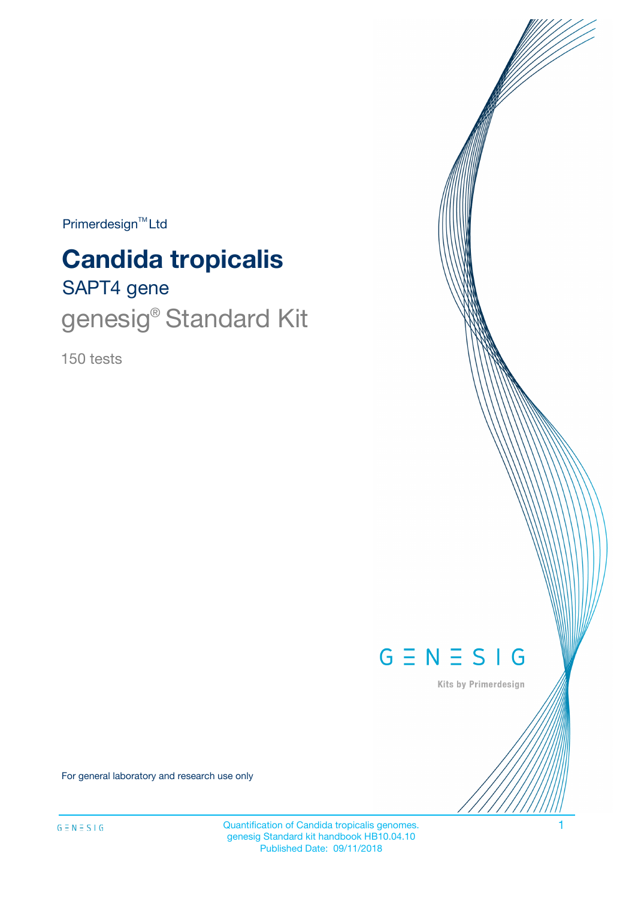$Primerdesign^{\text{TM}}Ltd$ 

# **Candida tropicalis**

# SAPT4 gene genesig<sup>®</sup> Standard Kit

150 tests



Kits by Primerdesign

For general laboratory and research use only

Quantification of Candida tropicalis genomes. 1 genesig Standard kit handbook HB10.04.10 Published Date: 09/11/2018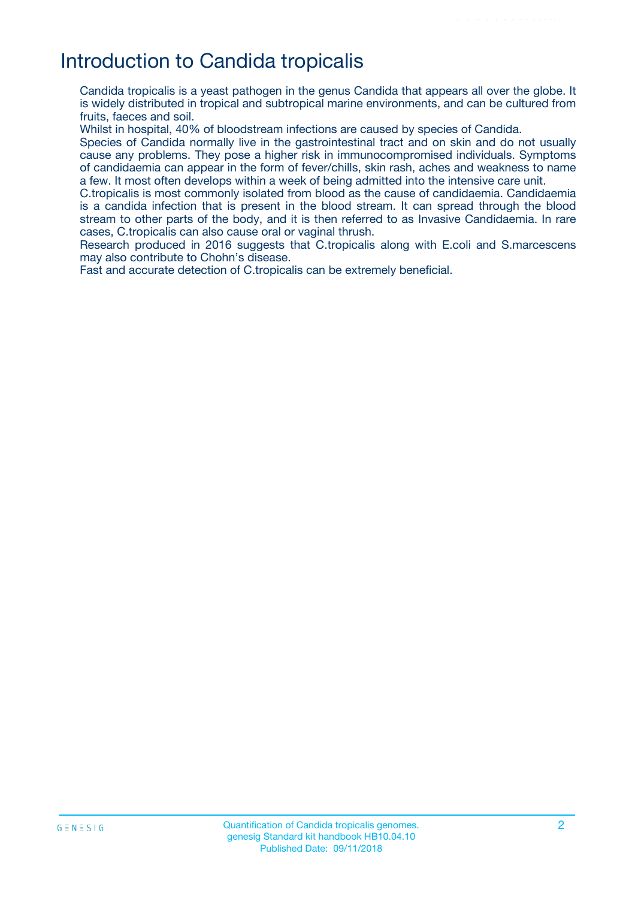## Introduction to Candida tropicalis

Candida tropicalis is a yeast pathogen in the genus Candida that appears all over the globe. It is widely distributed in tropical and subtropical marine environments, and can be cultured from fruits, faeces and soil.

Whilst in hospital, 40% of bloodstream infections are caused by species of Candida.

Species of Candida normally live in the gastrointestinal tract and on skin and do not usually cause any problems. They pose a higher risk in immunocompromised individuals. Symptoms of candidaemia can appear in the form of fever/chills, skin rash, aches and weakness to name a few. It most often develops within a week of being admitted into the intensive care unit.

C.tropicalis is most commonly isolated from blood as the cause of candidaemia. Candidaemia is a candida infection that is present in the blood stream. It can spread through the blood stream to other parts of the body, and it is then referred to as Invasive Candidaemia. In rare cases, C.tropicalis can also cause oral or vaginal thrush.

Research produced in 2016 suggests that C.tropicalis along with E.coli and S.marcescens may also contribute to Chohn's disease.

Fast and accurate detection of C.tropicalis can be extremely beneficial.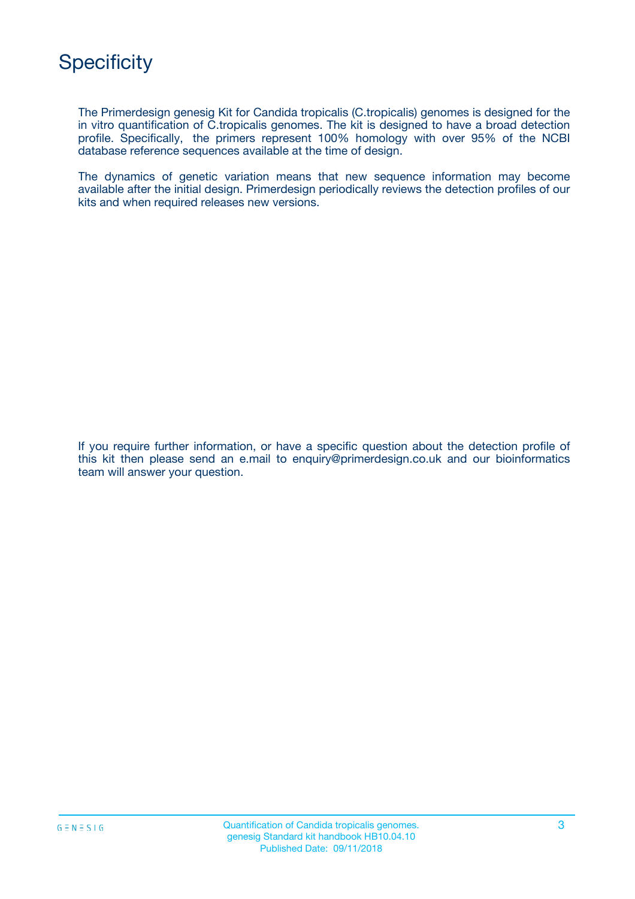The Primerdesign genesig Kit for Candida tropicalis (C.tropicalis) genomes is designed for the in vitro quantification of C.tropicalis genomes. The kit is designed to have a broad detection profile. Specifically, the primers represent 100% homology with over 95% of the NCBI database reference sequences available at the time of design.

The dynamics of genetic variation means that new sequence information may become available after the initial design. Primerdesign periodically reviews the detection profiles of our kits and when required releases new versions.

If you require further information, or have a specific question about the detection profile of this kit then please send an e.mail to enquiry@primerdesign.co.uk and our bioinformatics team will answer your question.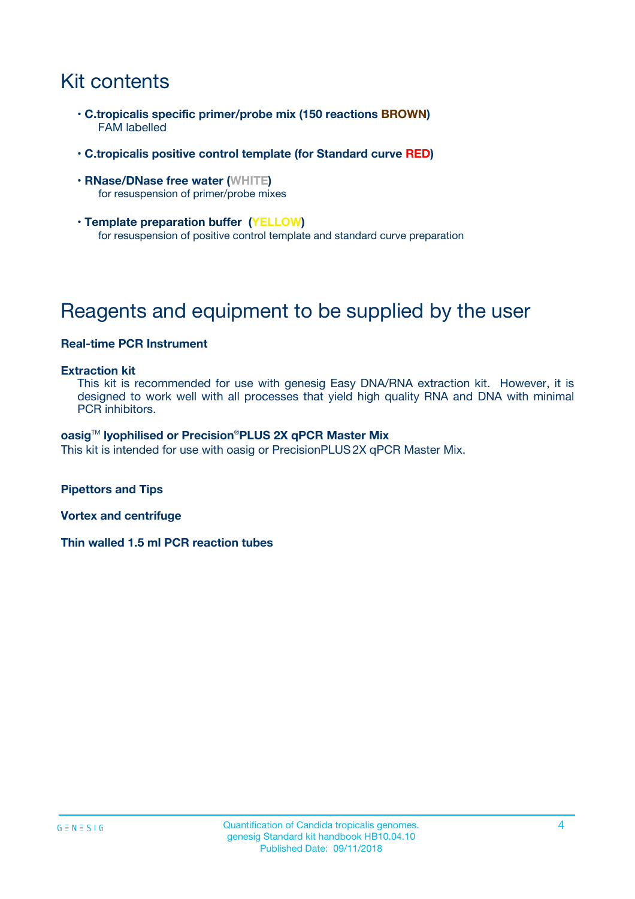# Kit contents

- **C.tropicalis specific primer/probe mix (150 reactions BROWN)** FAM labelled
- **C.tropicalis positive control template (for Standard curve RED)**
- **RNase/DNase free water (WHITE)** for resuspension of primer/probe mixes
- **Template preparation buffer (YELLOW)** for resuspension of positive control template and standard curve preparation

# Reagents and equipment to be supplied by the user

#### **Real-time PCR Instrument**

#### **Extraction kit**

This kit is recommended for use with genesig Easy DNA/RNA extraction kit. However, it is designed to work well with all processes that yield high quality RNA and DNA with minimal PCR inhibitors.

#### **oasig**TM **lyophilised or Precision**®**PLUS 2X qPCR Master Mix**

This kit is intended for use with oasig or PrecisionPLUS2X qPCR Master Mix.

**Pipettors and Tips**

**Vortex and centrifuge**

**Thin walled 1.5 ml PCR reaction tubes**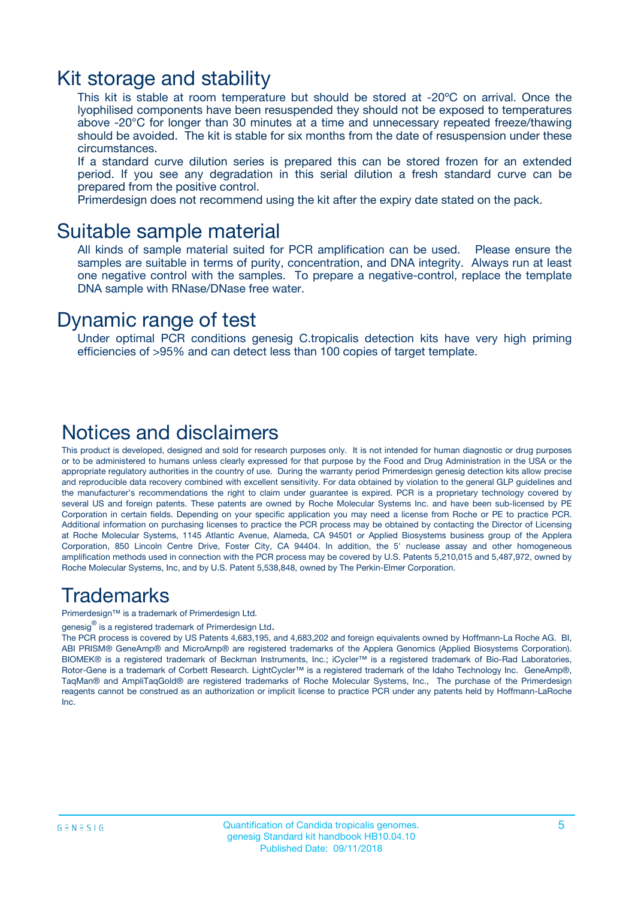### Kit storage and stability

This kit is stable at room temperature but should be stored at -20ºC on arrival. Once the lyophilised components have been resuspended they should not be exposed to temperatures above -20°C for longer than 30 minutes at a time and unnecessary repeated freeze/thawing should be avoided. The kit is stable for six months from the date of resuspension under these circumstances.

If a standard curve dilution series is prepared this can be stored frozen for an extended period. If you see any degradation in this serial dilution a fresh standard curve can be prepared from the positive control.

Primerdesign does not recommend using the kit after the expiry date stated on the pack.

### Suitable sample material

All kinds of sample material suited for PCR amplification can be used. Please ensure the samples are suitable in terms of purity, concentration, and DNA integrity. Always run at least one negative control with the samples. To prepare a negative-control, replace the template DNA sample with RNase/DNase free water.

### Dynamic range of test

Under optimal PCR conditions genesig C.tropicalis detection kits have very high priming efficiencies of >95% and can detect less than 100 copies of target template.

### Notices and disclaimers

This product is developed, designed and sold for research purposes only. It is not intended for human diagnostic or drug purposes or to be administered to humans unless clearly expressed for that purpose by the Food and Drug Administration in the USA or the appropriate regulatory authorities in the country of use. During the warranty period Primerdesign genesig detection kits allow precise and reproducible data recovery combined with excellent sensitivity. For data obtained by violation to the general GLP guidelines and the manufacturer's recommendations the right to claim under guarantee is expired. PCR is a proprietary technology covered by several US and foreign patents. These patents are owned by Roche Molecular Systems Inc. and have been sub-licensed by PE Corporation in certain fields. Depending on your specific application you may need a license from Roche or PE to practice PCR. Additional information on purchasing licenses to practice the PCR process may be obtained by contacting the Director of Licensing at Roche Molecular Systems, 1145 Atlantic Avenue, Alameda, CA 94501 or Applied Biosystems business group of the Applera Corporation, 850 Lincoln Centre Drive, Foster City, CA 94404. In addition, the 5' nuclease assay and other homogeneous amplification methods used in connection with the PCR process may be covered by U.S. Patents 5,210,015 and 5,487,972, owned by Roche Molecular Systems, Inc, and by U.S. Patent 5,538,848, owned by The Perkin-Elmer Corporation.

### Trademarks

Primerdesign™ is a trademark of Primerdesign Ltd.

genesig $^\circledR$  is a registered trademark of Primerdesign Ltd.

The PCR process is covered by US Patents 4,683,195, and 4,683,202 and foreign equivalents owned by Hoffmann-La Roche AG. BI, ABI PRISM® GeneAmp® and MicroAmp® are registered trademarks of the Applera Genomics (Applied Biosystems Corporation). BIOMEK® is a registered trademark of Beckman Instruments, Inc.; iCycler™ is a registered trademark of Bio-Rad Laboratories, Rotor-Gene is a trademark of Corbett Research. LightCycler™ is a registered trademark of the Idaho Technology Inc. GeneAmp®, TaqMan® and AmpliTaqGold® are registered trademarks of Roche Molecular Systems, Inc., The purchase of the Primerdesign reagents cannot be construed as an authorization or implicit license to practice PCR under any patents held by Hoffmann-LaRoche Inc.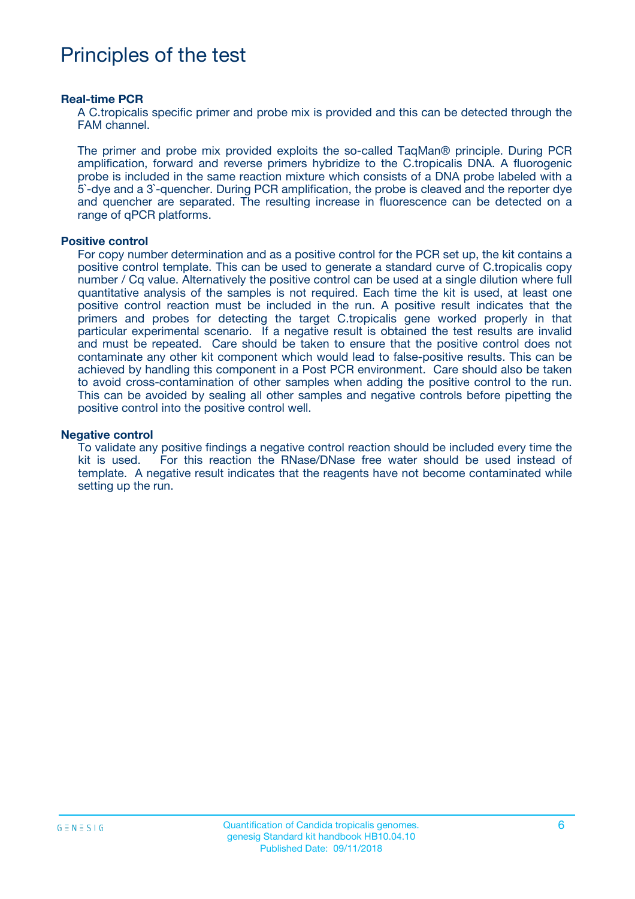### Principles of the test

#### **Real-time PCR**

A C.tropicalis specific primer and probe mix is provided and this can be detected through the FAM channel.

The primer and probe mix provided exploits the so-called TaqMan® principle. During PCR amplification, forward and reverse primers hybridize to the C.tropicalis DNA. A fluorogenic probe is included in the same reaction mixture which consists of a DNA probe labeled with a 5`-dye and a 3`-quencher. During PCR amplification, the probe is cleaved and the reporter dye and quencher are separated. The resulting increase in fluorescence can be detected on a range of qPCR platforms.

#### **Positive control**

For copy number determination and as a positive control for the PCR set up, the kit contains a positive control template. This can be used to generate a standard curve of C.tropicalis copy number / Cq value. Alternatively the positive control can be used at a single dilution where full quantitative analysis of the samples is not required. Each time the kit is used, at least one positive control reaction must be included in the run. A positive result indicates that the primers and probes for detecting the target C.tropicalis gene worked properly in that particular experimental scenario. If a negative result is obtained the test results are invalid and must be repeated. Care should be taken to ensure that the positive control does not contaminate any other kit component which would lead to false-positive results. This can be achieved by handling this component in a Post PCR environment. Care should also be taken to avoid cross-contamination of other samples when adding the positive control to the run. This can be avoided by sealing all other samples and negative controls before pipetting the positive control into the positive control well.

#### **Negative control**

To validate any positive findings a negative control reaction should be included every time the kit is used. For this reaction the RNase/DNase free water should be used instead of template. A negative result indicates that the reagents have not become contaminated while setting up the run.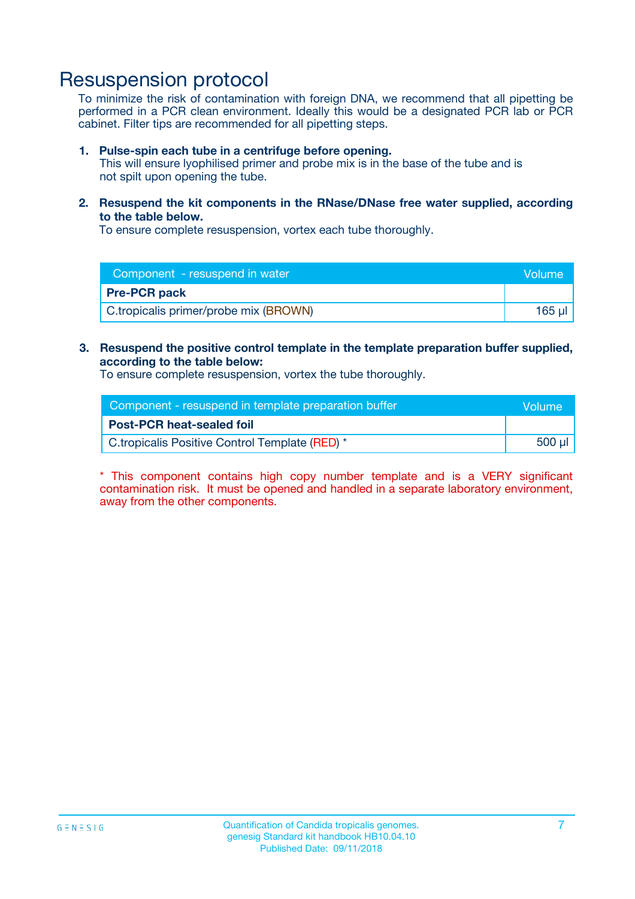### Resuspension protocol

To minimize the risk of contamination with foreign DNA, we recommend that all pipetting be performed in a PCR clean environment. Ideally this would be a designated PCR lab or PCR cabinet. Filter tips are recommended for all pipetting steps.

#### **1. Pulse-spin each tube in a centrifuge before opening.**

This will ensure lyophilised primer and probe mix is in the base of the tube and is not spilt upon opening the tube.

**2. Resuspend the kit components in the RNase/DNase free water supplied, according to the table below.**

To ensure complete resuspension, vortex each tube thoroughly.

| Component - resuspend in water        | <b>Nolume</b> |
|---------------------------------------|---------------|
| <b>Pre-PCR pack</b>                   |               |
| C.tropicalis primer/probe mix (BROWN) | 165 ul        |

#### **3. Resuspend the positive control template in the template preparation buffer supplied, according to the table below:**

To ensure complete resuspension, vortex the tube thoroughly.

| Component - resuspend in template preparation buffer |          |  |
|------------------------------------------------------|----------|--|
| <b>Post-PCR heat-sealed foil</b>                     |          |  |
| C.tropicalis Positive Control Template (RED) *       | . 500 µl |  |

\* This component contains high copy number template and is a VERY significant contamination risk. It must be opened and handled in a separate laboratory environment, away from the other components.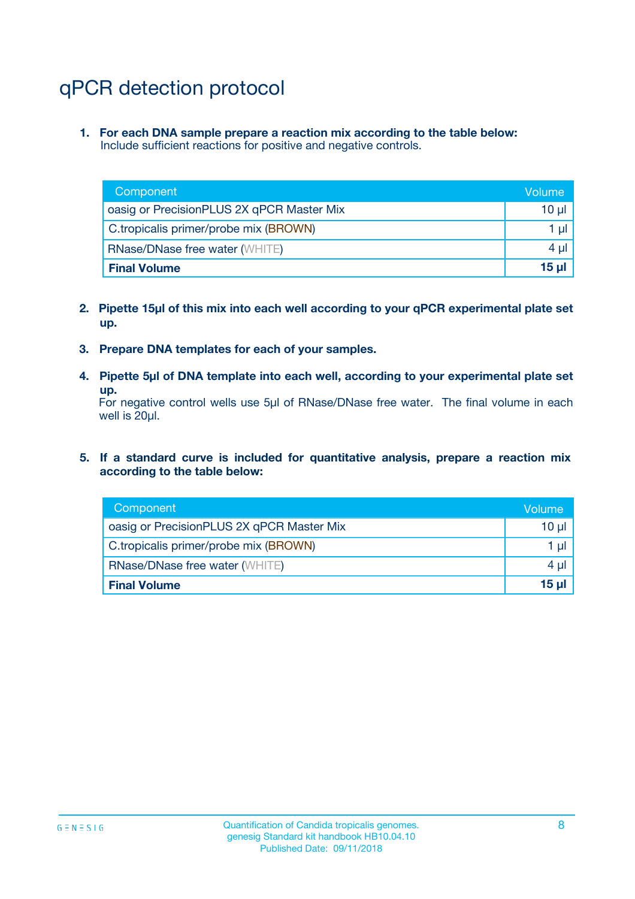# qPCR detection protocol

**1. For each DNA sample prepare a reaction mix according to the table below:** Include sufficient reactions for positive and negative controls.

| Component                                 | Volume   |
|-------------------------------------------|----------|
| oasig or PrecisionPLUS 2X qPCR Master Mix | 10 $\mu$ |
| C.tropicalis primer/probe mix (BROWN)     | 1 $\mu$  |
| <b>RNase/DNase free water (WHITE)</b>     | $4 \mu$  |
| <b>Final Volume</b>                       | $15$ µ   |

- **2. Pipette 15µl of this mix into each well according to your qPCR experimental plate set up.**
- **3. Prepare DNA templates for each of your samples.**
- **4. Pipette 5µl of DNA template into each well, according to your experimental plate set up.**

For negative control wells use 5µl of RNase/DNase free water. The final volume in each well is 20µl.

**5. If a standard curve is included for quantitative analysis, prepare a reaction mix according to the table below:**

| Component                                 | Volume  |
|-------------------------------------------|---------|
| oasig or PrecisionPLUS 2X qPCR Master Mix | 10 µl   |
| C.tropicalis primer/probe mix (BROWN)     | 1 µI    |
| <b>RNase/DNase free water (WHITE)</b>     | $4 \mu$ |
| <b>Final Volume</b>                       | 15 µl   |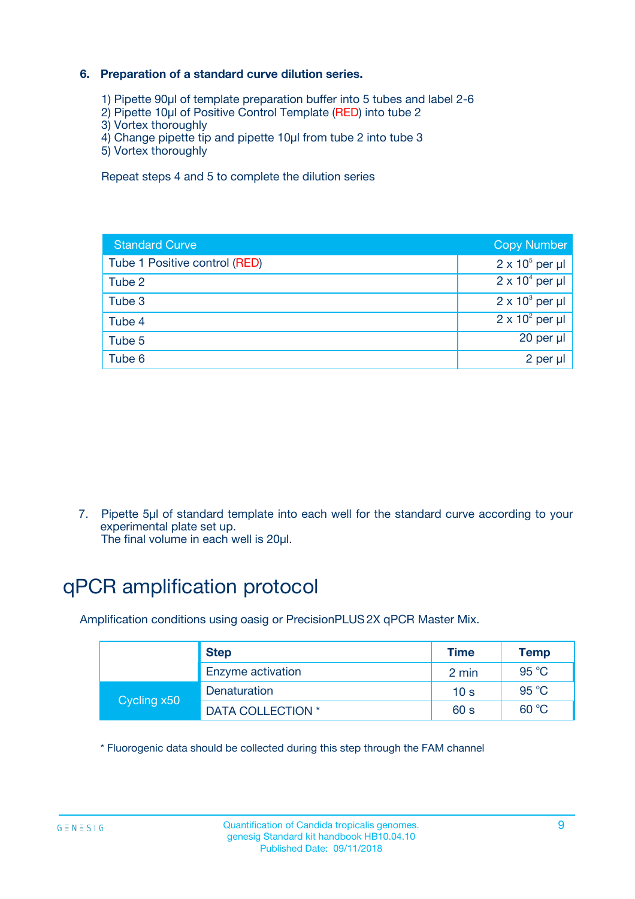### **6. Preparation of a standard curve dilution series.**

- 1) Pipette 90µl of template preparation buffer into 5 tubes and label 2-6
- 2) Pipette 10µl of Positive Control Template (RED) into tube 2
- 3) Vortex thoroughly
- 4) Change pipette tip and pipette 10µl from tube 2 into tube 3
- 5) Vortex thoroughly

Repeat steps 4 and 5 to complete the dilution series

| <b>Standard Curve</b>         | <b>Copy Number</b>     |
|-------------------------------|------------------------|
| Tube 1 Positive control (RED) | $2 \times 10^5$ per µl |
| Tube 2                        | $2 \times 10^4$ per µl |
| Tube 3                        | $2 \times 10^3$ per µl |
| Tube 4                        | $2 \times 10^2$ per µl |
| Tube 5                        | 20 per µl              |
| Tube 6                        | 2 per ul               |

7. Pipette 5µl of standard template into each well for the standard curve according to your experimental plate set up.

The final volume in each well is 20µl.

# qPCR amplification protocol

Amplification conditions using oasig or PrecisionPLUS2X qPCR Master Mix.

|             | <b>Step</b>       | <b>Time</b>     | Temp    |
|-------------|-------------------|-----------------|---------|
|             | Enzyme activation | 2 min           | 95 °C   |
| Cycling x50 | Denaturation      | 10 <sub>s</sub> | 95 $°C$ |
|             | DATA COLLECTION * | 60 s            | 60 °C   |

\* Fluorogenic data should be collected during this step through the FAM channel